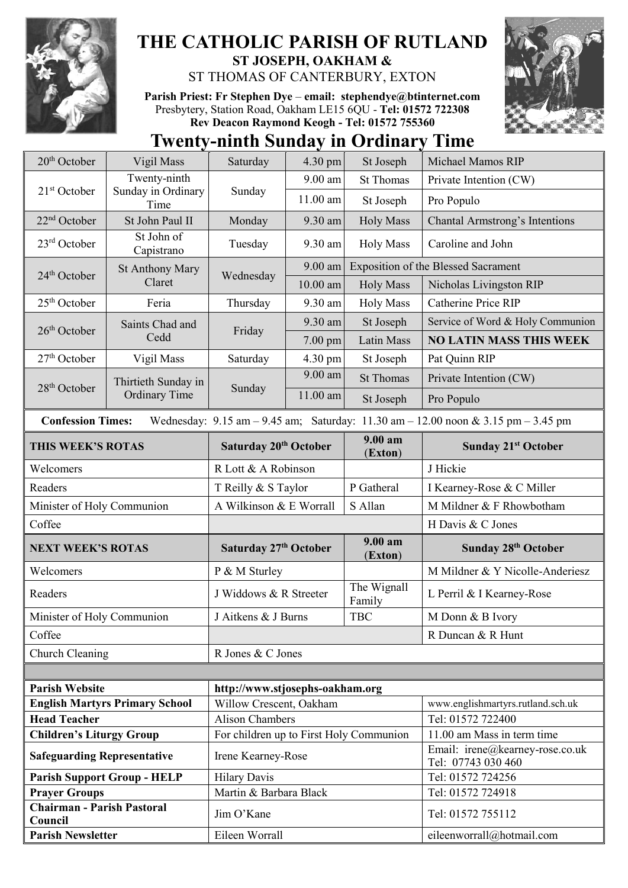

## **THE CATHOLIC PARISH OF RUTLAND ST JOSEPH, OAKHAM &**

ST THOMAS OF CANTERBURY, EXTON

**Parish Priest: Fr Stephen Dye** – **[email: stephendye@btinternet.com](mailto:email:%20%20stephendye@btinternet.com)** Presbytery, Station Road, Oakham LE15 6QU - **Tel: 01572 722308 Rev Deacon Raymond Keogh - Tel: 01572 755360**



## **Twenty-ninth Sunday in Ordinary Time**

| $20th$ October                                                                                                                                                      | Vigil Mass                                               | Saturday                                      | 4.30 pm    | St Joseph             | Michael Mamos RIP                                     |  |
|---------------------------------------------------------------------------------------------------------------------------------------------------------------------|----------------------------------------------------------|-----------------------------------------------|------------|-----------------------|-------------------------------------------------------|--|
| 21 <sup>st</sup> October                                                                                                                                            | Twenty-ninth<br>Sunday in Ordinary<br>Time               | Sunday                                        | 9.00 am    | <b>St Thomas</b>      | Private Intention (CW)                                |  |
|                                                                                                                                                                     |                                                          |                                               | 11.00 am   | St Joseph             | Pro Populo                                            |  |
| $22nd$ October                                                                                                                                                      | St John Paul II                                          | Monday                                        | 9.30 am    | <b>Holy Mass</b>      | Chantal Armstrong's Intentions                        |  |
| $23rd$ October                                                                                                                                                      | St John of<br>Capistrano                                 | Tuesday                                       | 9.30 am    | <b>Holy Mass</b>      | Caroline and John                                     |  |
| $24th$ October                                                                                                                                                      | <b>St Anthony Mary</b><br>Claret                         | Wednesday                                     | 9.00 am    |                       | <b>Exposition of the Blessed Sacrament</b>            |  |
|                                                                                                                                                                     |                                                          |                                               | $10.00$ am | <b>Holy Mass</b>      | Nicholas Livingston RIP                               |  |
| 25 <sup>th</sup> October                                                                                                                                            | Feria                                                    | Thursday                                      | 9.30 am    | <b>Holy Mass</b>      | <b>Catherine Price RIP</b>                            |  |
| 26 <sup>th</sup> October                                                                                                                                            | Saints Chad and<br>Cedd                                  | Friday                                        | 9.30 am    | St Joseph             | Service of Word & Holy Communion                      |  |
|                                                                                                                                                                     |                                                          |                                               | 7.00 pm    | <b>Latin Mass</b>     | <b>NO LATIN MASS THIS WEEK</b>                        |  |
| $27th$ October                                                                                                                                                      | Vigil Mass                                               | Saturday                                      | 4.30 pm    | St Joseph             | Pat Quinn RIP                                         |  |
|                                                                                                                                                                     | Thirtieth Sunday in<br><b>Ordinary Time</b>              | Sunday                                        | 9.00 am    | <b>St Thomas</b>      | Private Intention (CW)                                |  |
| 28 <sup>th</sup> October                                                                                                                                            |                                                          |                                               | 11.00 am   | St Joseph             | Pro Populo                                            |  |
| Wednesday: $9.15 \text{ am} - 9.45 \text{ am}$ ; Saturday: $11.30 \text{ am} - 12.00 \text{ noon} \& 3.15 \text{ pm} - 3.45 \text{ pm}$<br><b>Confession Times:</b> |                                                          |                                               |            |                       |                                                       |  |
| THIS WEEK'S ROTAS                                                                                                                                                   |                                                          | Saturday 20 <sup>th</sup> October             |            | $9.00 a$ m<br>(Exton) | <b>Sunday 21st October</b>                            |  |
| Welcomers                                                                                                                                                           |                                                          | R Lott & A Robinson                           |            |                       | J Hickie                                              |  |
| Readers                                                                                                                                                             |                                                          | T Reilly & S Taylor                           |            | P Gatheral            | I Kearney-Rose & C Miller                             |  |
| Minister of Holy Communion                                                                                                                                          |                                                          | A Wilkinson & E Worrall                       |            | S Allan               | M Mildner & F Rhowbotham                              |  |
| Coffee                                                                                                                                                              |                                                          |                                               |            |                       | H Davis & C Jones                                     |  |
| <b>NEXT WEEK'S ROTAS</b>                                                                                                                                            |                                                          | Saturday 27th October                         |            | $9.00 a$ m<br>(Exton) | Sunday 28th October                                   |  |
| Welcomers                                                                                                                                                           |                                                          | P & M Sturley                                 |            |                       | M Mildner & Y Nicolle-Anderiesz                       |  |
| Readers                                                                                                                                                             |                                                          | J Widdows & R Streeter                        |            | The Wignall<br>Family | L Perril & I Kearney-Rose                             |  |
| Minister of Holy Communion                                                                                                                                          |                                                          | <b>TBC</b><br>J Aitkens & J Burns             |            |                       | M Donn & B Ivory                                      |  |
| Coffee                                                                                                                                                              |                                                          |                                               |            |                       | R Duncan & R Hunt                                     |  |
| Church Cleaning                                                                                                                                                     |                                                          | R Jones & C Jones                             |            |                       |                                                       |  |
|                                                                                                                                                                     |                                                          |                                               |            |                       |                                                       |  |
|                                                                                                                                                                     | <b>Parish Website</b><br>http://www.stjosephs-oakham.org |                                               |            |                       |                                                       |  |
| <b>English Martyrs Primary School</b>                                                                                                                               |                                                          | Willow Crescent, Oakham                       |            |                       | www.englishmartyrs.rutland.sch.uk                     |  |
| <b>Head Teacher</b>                                                                                                                                                 |                                                          | <b>Alison Chambers</b>                        |            |                       | Tel: 01572 722400                                     |  |
| <b>Children's Liturgy Group</b>                                                                                                                                     |                                                          | For children up to First Holy Communion       |            |                       | 11.00 am Mass in term time                            |  |
| <b>Safeguarding Representative</b>                                                                                                                                  |                                                          | Irene Kearney-Rose                            |            |                       | Email: irene@kearney-rose.co.uk<br>Tel: 07743 030 460 |  |
| <b>Parish Support Group - HELP</b>                                                                                                                                  |                                                          | <b>Hilary Davis</b><br>Martin & Barbara Black |            |                       | Tel: 01572 724256                                     |  |
| <b>Prayer Groups</b><br><b>Chairman - Parish Pastoral</b>                                                                                                           |                                                          |                                               |            |                       | Tel: 01572 724918                                     |  |
| Council                                                                                                                                                             |                                                          | Jim O'Kane                                    |            |                       | Tel: 01572 755112                                     |  |
| <b>Parish Newsletter</b>                                                                                                                                            |                                                          | Eileen Worrall                                |            |                       | eileenworrall@hotmail.com                             |  |